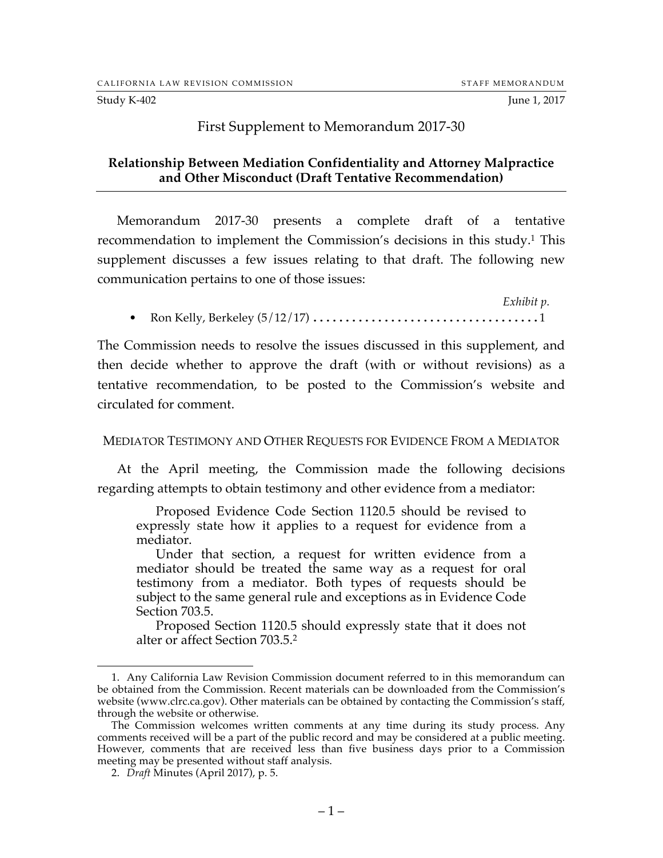#### First Supplement to Memorandum 2017-30

## **Relationship Between Mediation Confidentiality and Attorney Malpractice and Other Misconduct (Draft Tentative Recommendation)**

Memorandum 2017-30 presents a complete draft of a tentative recommendation to implement the Commission's decisions in this study.1 This supplement discusses a few issues relating to that draft. The following new communication pertains to one of those issues:

*Exhibit p.* • Ron Kelly, Berkeley (5/12/17) ...................................1

The Commission needs to resolve the issues discussed in this supplement, and then decide whether to approve the draft (with or without revisions) as a tentative recommendation, to be posted to the Commission's website and circulated for comment.

#### MEDIATOR TESTIMONY AND OTHER REQUESTS FOR EVIDENCE FROM A MEDIATOR

At the April meeting, the Commission made the following decisions regarding attempts to obtain testimony and other evidence from a mediator:

Proposed Evidence Code Section 1120.5 should be revised to expressly state how it applies to a request for evidence from a mediator.

Under that section, a request for written evidence from a mediator should be treated the same way as a request for oral testimony from a mediator. Both types of requests should be subject to the same general rule and exceptions as in Evidence Code Section 703.5.

Proposed Section 1120.5 should expressly state that it does not alter or affect Section 703.5.2

 <sup>1.</sup> Any California Law Revision Commission document referred to in this memorandum can be obtained from the Commission. Recent materials can be downloaded from the Commission's website (www.clrc.ca.gov). Other materials can be obtained by contacting the Commission's staff, through the website or otherwise.

The Commission welcomes written comments at any time during its study process. Any comments received will be a part of the public record and may be considered at a public meeting. However, comments that are received less than five business days prior to a Commission meeting may be presented without staff analysis.

<sup>2.</sup> *Draft* Minutes (April 2017), p. 5.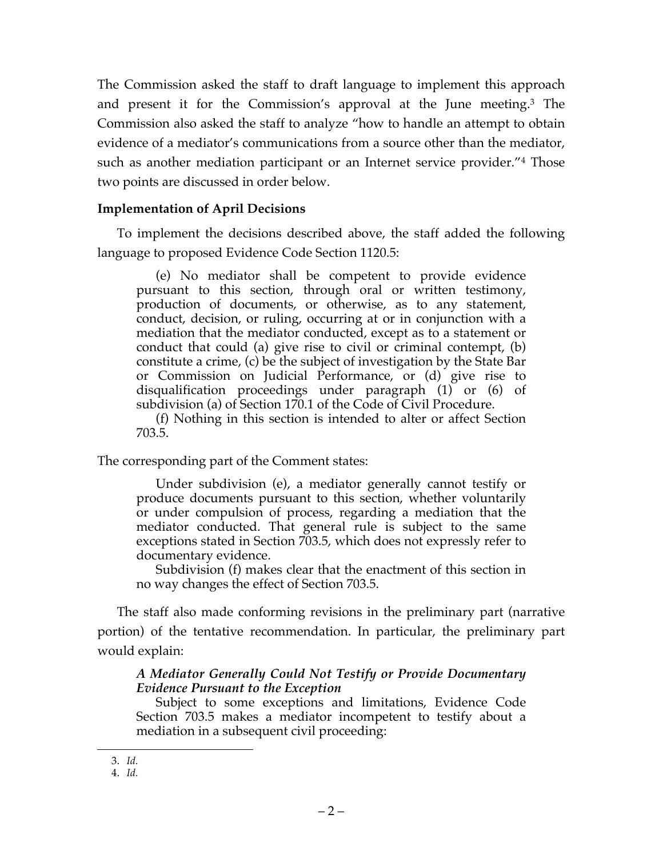The Commission asked the staff to draft language to implement this approach and present it for the Commission's approval at the June meeting.3 The Commission also asked the staff to analyze "how to handle an attempt to obtain evidence of a mediator's communications from a source other than the mediator, such as another mediation participant or an Internet service provider."4 Those two points are discussed in order below.

# **Implementation of April Decisions**

To implement the decisions described above, the staff added the following language to proposed Evidence Code Section 1120.5:

(e) No mediator shall be competent to provide evidence pursuant to this section, through oral or written testimony, production of documents, or otherwise, as to any statement, conduct, decision, or ruling, occurring at or in conjunction with a mediation that the mediator conducted, except as to a statement or conduct that could (a) give rise to civil or criminal contempt, (b) constitute a crime, (c) be the subject of investigation by the State Bar or Commission on Judicial Performance, or (d) give rise to disqualification proceedings under paragraph (1) or (6) of subdivision (a) of Section 170.1 of the Code of Civil Procedure.

(f) Nothing in this section is intended to alter or affect Section 703.5.

The corresponding part of the Comment states:

Under subdivision (e), a mediator generally cannot testify or produce documents pursuant to this section, whether voluntarily or under compulsion of process, regarding a mediation that the mediator conducted. That general rule is subject to the same exceptions stated in Section 703.5, which does not expressly refer to documentary evidence.

Subdivision (f) makes clear that the enactment of this section in no way changes the effect of Section 703.5.

The staff also made conforming revisions in the preliminary part (narrative portion) of the tentative recommendation. In particular, the preliminary part would explain:

## *A Mediator Generally Could Not Testify or Provide Documentary Evidence Pursuant to the Exception*

Subject to some exceptions and limitations, Evidence Code Section 703.5 makes a mediator incompetent to testify about a mediation in a subsequent civil proceeding:

 <sup>3.</sup> *Id.*

<sup>4.</sup> *Id.*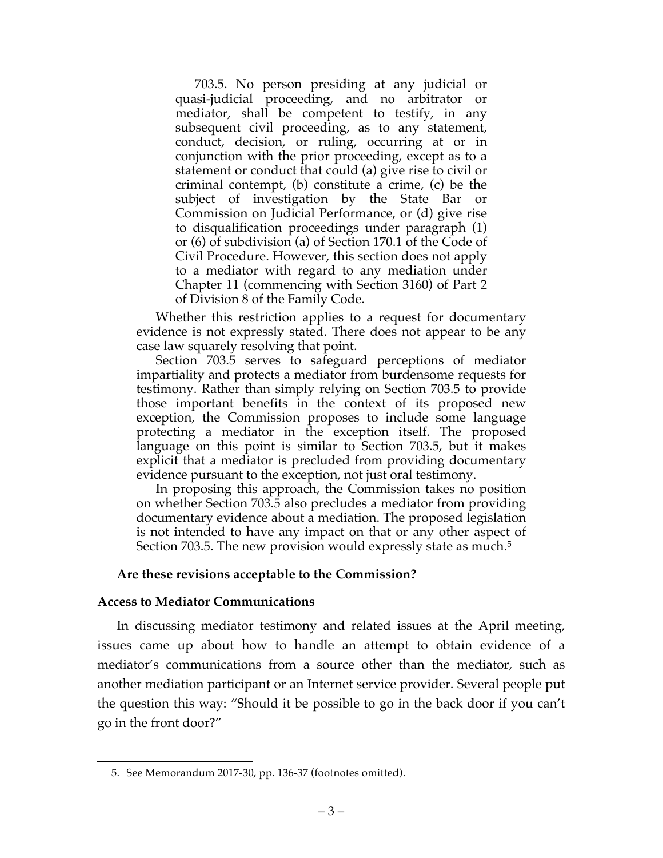703.5. No person presiding at any judicial or quasi-judicial proceeding, and no arbitrator or mediator, shall be competent to testify, in any subsequent civil proceeding, as to any statement, conduct, decision, or ruling, occurring at or in conjunction with the prior proceeding, except as to a statement or conduct that could (a) give rise to civil or criminal contempt, (b) constitute a crime, (c) be the subject of investigation by the State Bar or Commission on Judicial Performance, or (d) give rise to disqualification proceedings under paragraph (1) or (6) of subdivision (a) of Section 170.1 of the Code of Civil Procedure. However, this section does not apply to a mediator with regard to any mediation under Chapter 11 (commencing with Section 3160) of Part 2 of Division 8 of the Family Code.

Whether this restriction applies to a request for documentary evidence is not expressly stated. There does not appear to be any case law squarely resolving that point.

Section 703.5 serves to safeguard perceptions of mediator impartiality and protects a mediator from burdensome requests for testimony. Rather than simply relying on Section 703.5 to provide those important benefits in the context of its proposed new exception, the Commission proposes to include some language protecting a mediator in the exception itself. The proposed language on this point is similar to Section 703.5, but it makes explicit that a mediator is precluded from providing documentary evidence pursuant to the exception, not just oral testimony.

In proposing this approach, the Commission takes no position on whether Section 703.5 also precludes a mediator from providing documentary evidence about a mediation. The proposed legislation is not intended to have any impact on that or any other aspect of Section 703.5. The new provision would expressly state as much.<sup>5</sup>

#### **Are these revisions acceptable to the Commission?**

#### **Access to Mediator Communications**

In discussing mediator testimony and related issues at the April meeting, issues came up about how to handle an attempt to obtain evidence of a mediator's communications from a source other than the mediator, such as another mediation participant or an Internet service provider. Several people put the question this way: "Should it be possible to go in the back door if you can't go in the front door?"

 <sup>5.</sup> See Memorandum 2017-30, pp. 136-37 (footnotes omitted).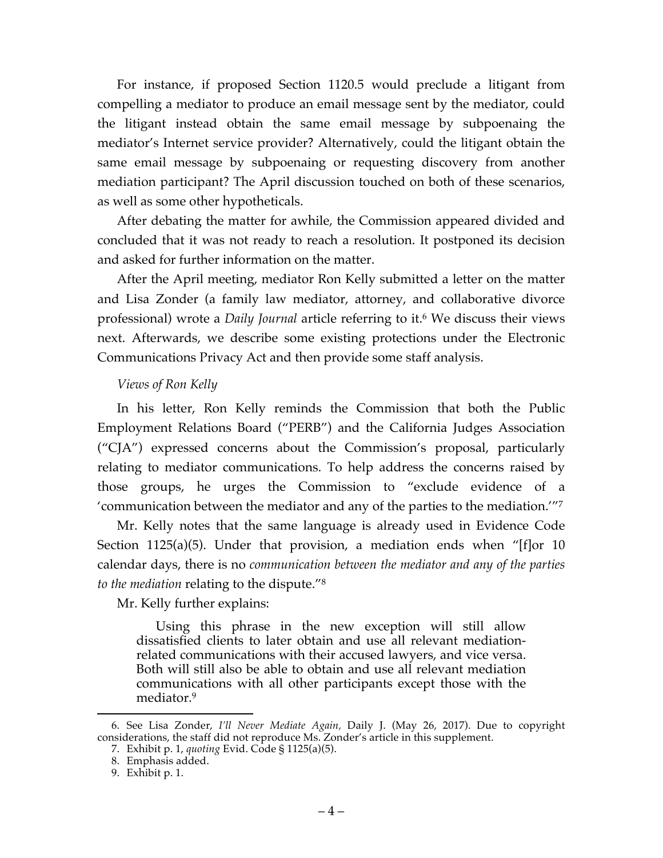For instance, if proposed Section 1120.5 would preclude a litigant from compelling a mediator to produce an email message sent by the mediator, could the litigant instead obtain the same email message by subpoenaing the mediator's Internet service provider? Alternatively, could the litigant obtain the same email message by subpoenaing or requesting discovery from another mediation participant? The April discussion touched on both of these scenarios, as well as some other hypotheticals.

After debating the matter for awhile, the Commission appeared divided and concluded that it was not ready to reach a resolution. It postponed its decision and asked for further information on the matter.

After the April meeting, mediator Ron Kelly submitted a letter on the matter and Lisa Zonder (a family law mediator, attorney, and collaborative divorce professional) wrote a *Daily Journal* article referring to it.6 We discuss their views next. Afterwards, we describe some existing protections under the Electronic Communications Privacy Act and then provide some staff analysis.

## *Views of Ron Kelly*

In his letter, Ron Kelly reminds the Commission that both the Public Employment Relations Board ("PERB") and the California Judges Association ("CJA") expressed concerns about the Commission's proposal, particularly relating to mediator communications. To help address the concerns raised by those groups, he urges the Commission to "exclude evidence of a 'communication between the mediator and any of the parties to the mediation.'"7

Mr. Kelly notes that the same language is already used in Evidence Code Section 1125(a)(5). Under that provision, a mediation ends when "[f]or 10 calendar days, there is no *communication between the mediator and any of the parties to the mediation* relating to the dispute."8

Mr. Kelly further explains:

Using this phrase in the new exception will still allow dissatisfied clients to later obtain and use all relevant mediationrelated communications with their accused lawyers, and vice versa. Both will still also be able to obtain and use all relevant mediation communications with all other participants except those with the mediator.9

 <sup>6.</sup> See Lisa Zonder, *I'll Never Mediate Again,* Daily J. (May 26, 2017). Due to copyright considerations, the staff did not reproduce Ms. Zonder's article in this supplement.

<sup>7.</sup> Exhibit p. 1, *quoting* Evid. Code § 1125(a)(5).

<sup>8.</sup> Emphasis added.

<sup>9.</sup> Exhibit p. 1.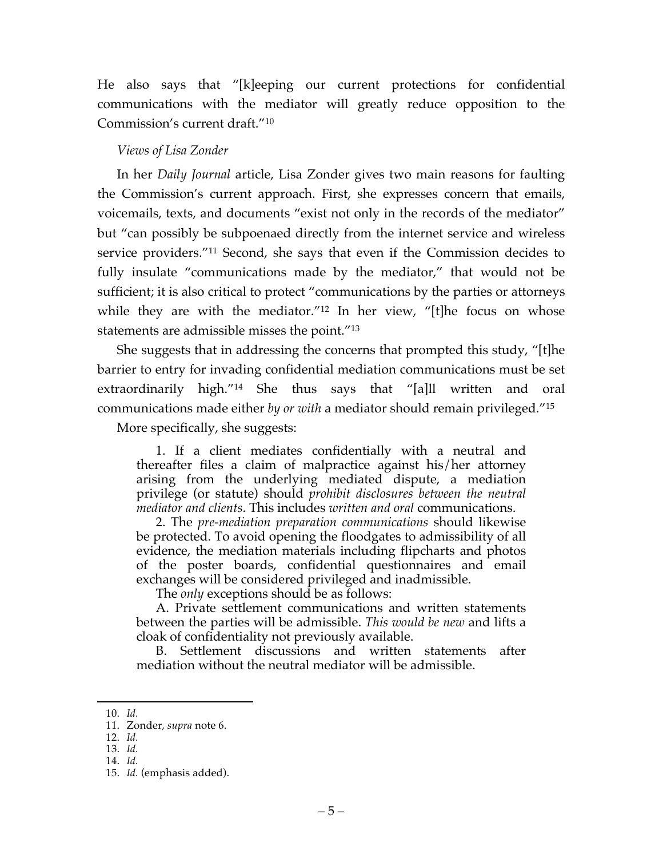He also says that "[k]eeping our current protections for confidential communications with the mediator will greatly reduce opposition to the Commission's current draft."10

# *Views of Lisa Zonder*

In her *Daily Journal* article, Lisa Zonder gives two main reasons for faulting the Commission's current approach. First, she expresses concern that emails, voicemails, texts, and documents "exist not only in the records of the mediator" but "can possibly be subpoenaed directly from the internet service and wireless service providers."11 Second, she says that even if the Commission decides to fully insulate "communications made by the mediator," that would not be sufficient; it is also critical to protect "communications by the parties or attorneys while they are with the mediator."<sup>12</sup> In her view, "[t]he focus on whose statements are admissible misses the point."13

She suggests that in addressing the concerns that prompted this study, "[t]he barrier to entry for invading confidential mediation communications must be set extraordinarily high."14 She thus says that "[a]ll written and oral communications made either *by or with* a mediator should remain privileged."15

More specifically, she suggests:

1. If a client mediates confidentially with a neutral and thereafter files a claim of malpractice against his/her attorney arising from the underlying mediated dispute, a mediation privilege (or statute) should *prohibit disclosures between the neutral mediator and clients*. This includes *written and oral* communications.

2. The *pre-mediation preparation communications* should likewise be protected. To avoid opening the floodgates to admissibility of all evidence, the mediation materials including flipcharts and photos of the poster boards, confidential questionnaires and email exchanges will be considered privileged and inadmissible.

The *only* exceptions should be as follows:

A. Private settlement communications and written statements between the parties will be admissible. *This would be new* and lifts a cloak of confidentiality not previously available.

B. Settlement discussions and written statements after mediation without the neutral mediator will be admissible.

 <sup>10.</sup> *Id.*

<sup>11.</sup> Zonder, *supra* note 6.

<sup>12.</sup> *Id.*

<sup>13.</sup> *Id.*

<sup>14.</sup> *Id.*

<sup>15.</sup> *Id.* (emphasis added).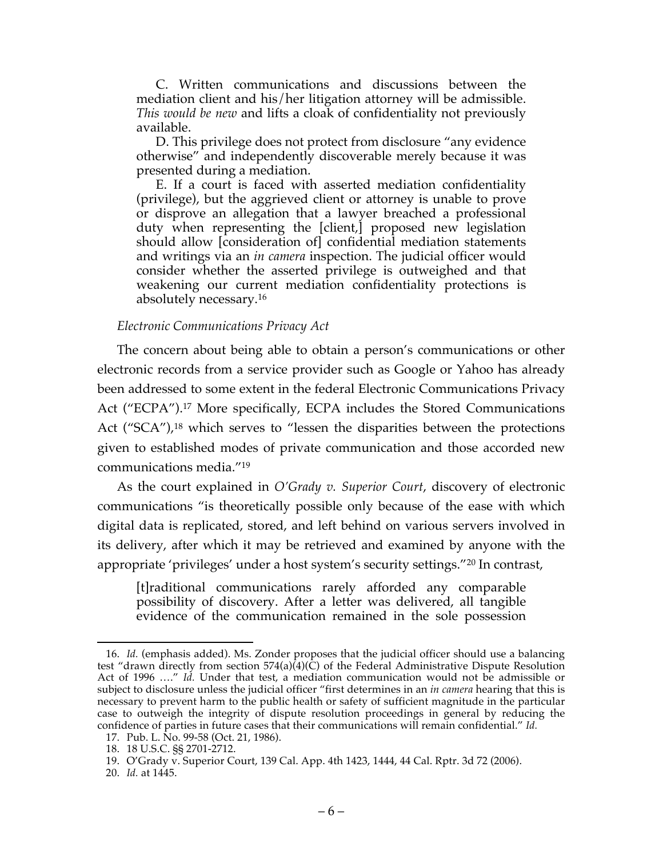C. Written communications and discussions between the mediation client and his/her litigation attorney will be admissible. *This would be new* and lifts a cloak of confidentiality not previously available.

D. This privilege does not protect from disclosure "any evidence otherwise" and independently discoverable merely because it was presented during a mediation.

E. If a court is faced with asserted mediation confidentiality (privilege), but the aggrieved client or attorney is unable to prove or disprove an allegation that a lawyer breached a professional duty when representing the [client,] proposed new legislation should allow [consideration of] confidential mediation statements and writings via an *in camera* inspection. The judicial officer would consider whether the asserted privilege is outweighed and that weakening our current mediation confidentiality protections is absolutely necessary.16

#### *Electronic Communications Privacy Act*

The concern about being able to obtain a person's communications or other electronic records from a service provider such as Google or Yahoo has already been addressed to some extent in the federal Electronic Communications Privacy Act ("ECPA").17 More specifically, ECPA includes the Stored Communications Act ("SCA"),<sup>18</sup> which serves to "lessen the disparities between the protections given to established modes of private communication and those accorded new communications media."19

As the court explained in *O'Grady v. Superior Court*, discovery of electronic communications "is theoretically possible only because of the ease with which digital data is replicated, stored, and left behind on various servers involved in its delivery, after which it may be retrieved and examined by anyone with the appropriate 'privileges' under a host system's security settings."20 In contrast,

[t]raditional communications rarely afforded any comparable possibility of discovery. After a letter was delivered, all tangible evidence of the communication remained in the sole possession

 <sup>16.</sup> *Id.* (emphasis added). Ms. Zonder proposes that the judicial officer should use a balancing test "drawn directly from section  $574(a)(4)(\dot{C})$  of the Federal Administrative Dispute Resolution Act of 1996 …." *Id.* Under that test, a mediation communication would not be admissible or subject to disclosure unless the judicial officer "first determines in an *in camera* hearing that this is necessary to prevent harm to the public health or safety of sufficient magnitude in the particular case to outweigh the integrity of dispute resolution proceedings in general by reducing the confidence of parties in future cases that their communications will remain confidential." *Id.*

<sup>17.</sup> Pub. L. No. 99-58 (Oct. 21, 1986).

<sup>18.</sup> 18 U.S.C. §§ 2701-2712.

<sup>19.</sup> O'Grady v. Superior Court, 139 Cal. App. 4th 1423, 1444, 44 Cal. Rptr. 3d 72 (2006).

<sup>20.</sup> *Id.* at 1445.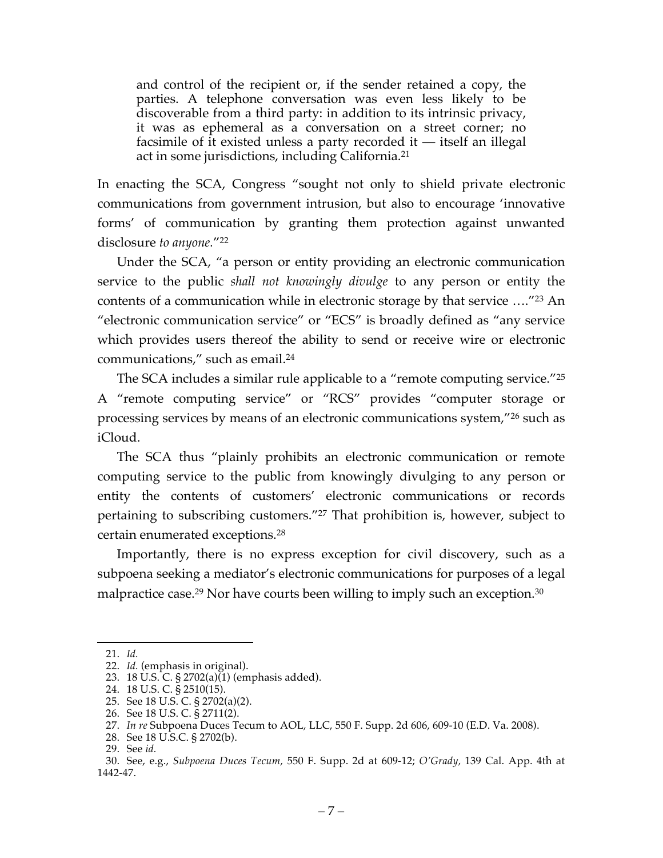and control of the recipient or, if the sender retained a copy, the parties. A telephone conversation was even less likely to be discoverable from a third party: in addition to its intrinsic privacy, it was as ephemeral as a conversation on a street corner; no facsimile of it existed unless a party recorded it — itself an illegal act in some jurisdictions, including California.21

In enacting the SCA, Congress "sought not only to shield private electronic communications from government intrusion, but also to encourage 'innovative forms' of communication by granting them protection against unwanted disclosure *to anyone.*"22

Under the SCA, "a person or entity providing an electronic communication service to the public *shall not knowingly divulge* to any person or entity the contents of a communication while in electronic storage by that service …."23 An "electronic communication service" or "ECS" is broadly defined as "any service which provides users thereof the ability to send or receive wire or electronic communications," such as email.24

The SCA includes a similar rule applicable to a "remote computing service."25 A "remote computing service" or "RCS" provides "computer storage or processing services by means of an electronic communications system,"26 such as iCloud.

The SCA thus "plainly prohibits an electronic communication or remote computing service to the public from knowingly divulging to any person or entity the contents of customers' electronic communications or records pertaining to subscribing customers."27 That prohibition is, however, subject to certain enumerated exceptions.28

Importantly, there is no express exception for civil discovery, such as a subpoena seeking a mediator's electronic communications for purposes of a legal malpractice case.<sup>29</sup> Nor have courts been willing to imply such an exception.<sup>30</sup>

 <sup>21.</sup> *Id.*

<sup>22.</sup> *Id.* (emphasis in original).

<sup>23.</sup> 18 U.S. C. § 2702(a)(1) (emphasis added).

<sup>24.</sup> 18 U.S. C. § 2510(15).

<sup>25.</sup> See 18 U.S. C. § 2702(a)(2).

<sup>26.</sup> See 18 U.S. C. § 2711(2).

<sup>27.</sup> *In re* Subpoena Duces Tecum to AOL, LLC, 550 F. Supp. 2d 606, 609-10 (E.D. Va. 2008).

<sup>28.</sup> See 18 U.S.C. § 2702(b).

<sup>29.</sup> See *id.*

<sup>30.</sup> See, e.g., *Subpoena Duces Tecum,* 550 F. Supp. 2d at 609-12; *O'Grady,* 139 Cal. App. 4th at 1442-47.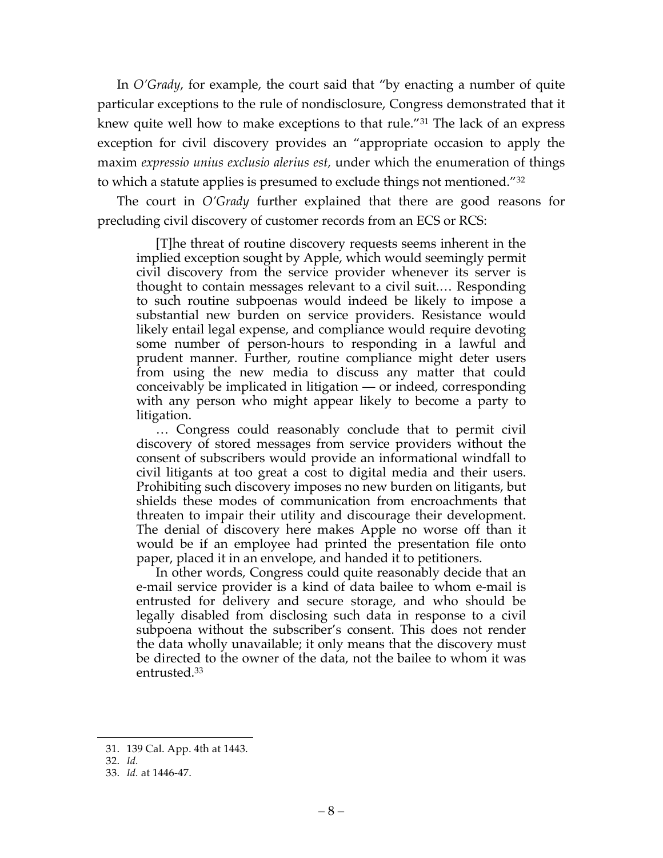In *O'Grady*, for example, the court said that "by enacting a number of quite particular exceptions to the rule of nondisclosure, Congress demonstrated that it knew quite well how to make exceptions to that rule."31 The lack of an express exception for civil discovery provides an "appropriate occasion to apply the maxim *expressio unius exclusio alerius est,* under which the enumeration of things to which a statute applies is presumed to exclude things not mentioned."32

The court in *O'Grady* further explained that there are good reasons for precluding civil discovery of customer records from an ECS or RCS:

[T]he threat of routine discovery requests seems inherent in the implied exception sought by Apple, which would seemingly permit civil discovery from the service provider whenever its server is thought to contain messages relevant to a civil suit.… Responding to such routine subpoenas would indeed be likely to impose a substantial new burden on service providers. Resistance would likely entail legal expense, and compliance would require devoting some number of person-hours to responding in a lawful and prudent manner. Further, routine compliance might deter users from using the new media to discuss any matter that could conceivably be implicated in litigation — or indeed, corresponding with any person who might appear likely to become a party to litigation.

… Congress could reasonably conclude that to permit civil discovery of stored messages from service providers without the consent of subscribers would provide an informational windfall to civil litigants at too great a cost to digital media and their users. Prohibiting such discovery imposes no new burden on litigants, but shields these modes of communication from encroachments that threaten to impair their utility and discourage their development. The denial of discovery here makes Apple no worse off than it would be if an employee had printed the presentation file onto paper, placed it in an envelope, and handed it to petitioners.

In other words, Congress could quite reasonably decide that an e-mail service provider is a kind of data bailee to whom e-mail is entrusted for delivery and secure storage, and who should be legally disabled from disclosing such data in response to a civil subpoena without the subscriber's consent. This does not render the data wholly unavailable; it only means that the discovery must be directed to the owner of the data, not the bailee to whom it was entrusted.33

 <sup>31.</sup> 139 Cal. App. 4th at 1443.

<sup>32.</sup> *Id.*

<sup>33.</sup> *Id.* at 1446-47.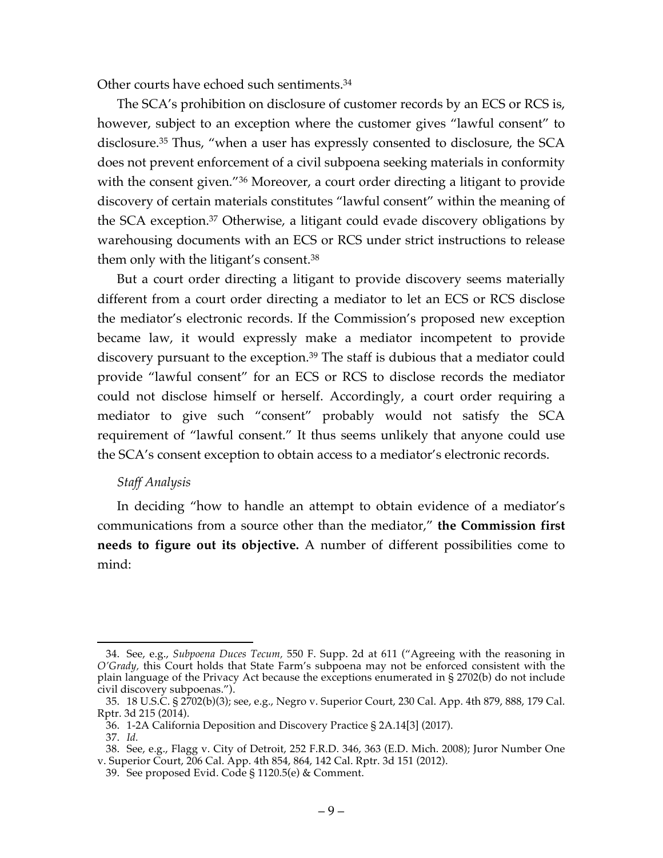Other courts have echoed such sentiments.34

The SCA's prohibition on disclosure of customer records by an ECS or RCS is, however, subject to an exception where the customer gives "lawful consent" to disclosure.35 Thus, "when a user has expressly consented to disclosure, the SCA does not prevent enforcement of a civil subpoena seeking materials in conformity with the consent given."<sup>36</sup> Moreover, a court order directing a litigant to provide discovery of certain materials constitutes "lawful consent" within the meaning of the SCA exception.37 Otherwise, a litigant could evade discovery obligations by warehousing documents with an ECS or RCS under strict instructions to release them only with the litigant's consent.38

But a court order directing a litigant to provide discovery seems materially different from a court order directing a mediator to let an ECS or RCS disclose the mediator's electronic records. If the Commission's proposed new exception became law, it would expressly make a mediator incompetent to provide discovery pursuant to the exception.39 The staff is dubious that a mediator could provide "lawful consent" for an ECS or RCS to disclose records the mediator could not disclose himself or herself. Accordingly, a court order requiring a mediator to give such "consent" probably would not satisfy the SCA requirement of "lawful consent." It thus seems unlikely that anyone could use the SCA's consent exception to obtain access to a mediator's electronic records.

## *Staff Analysis*

In deciding "how to handle an attempt to obtain evidence of a mediator's communications from a source other than the mediator," **the Commission first needs to figure out its objective.** A number of different possibilities come to mind:

 <sup>34.</sup> See, e.g., *Subpoena Duces Tecum,* 550 F. Supp. 2d at 611 ("Agreeing with the reasoning in *O'Grady,* this Court holds that State Farm's subpoena may not be enforced consistent with the plain language of the Privacy Act because the exceptions enumerated in § 2702(b) do not include civil discovery subpoenas.").

<sup>35.</sup> 18 U.S.C. § 2702(b)(3); see, e.g., Negro v. Superior Court, 230 Cal. App. 4th 879, 888, 179 Cal. Rptr. 3d 215 (2014).

<sup>36.</sup> 1-2A California Deposition and Discovery Practice § 2A.14[3] (2017).

<sup>37.</sup> *Id.*

<sup>38.</sup> See, e.g., Flagg v. City of Detroit, 252 F.R.D. 346, 363 (E.D. Mich. 2008); Juror Number One v. Superior Court, 206 Cal. App. 4th 854, 864, 142 Cal. Rptr. 3d 151 (2012).

<sup>39.</sup> See proposed Evid. Code § 1120.5(e) & Comment.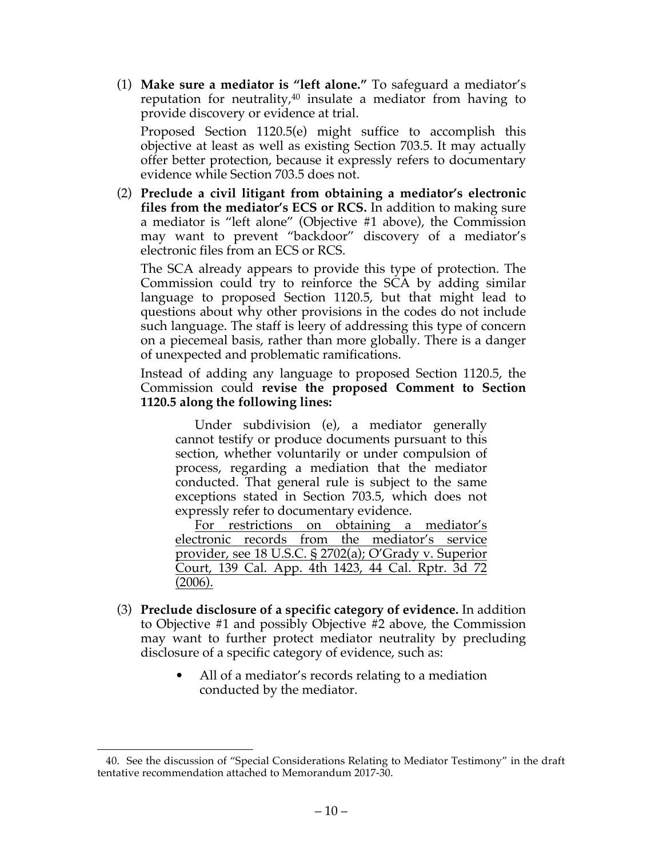(1) **Make sure a mediator is "left alone."** To safeguard a mediator's reputation for neutrality, $40$  insulate a mediator from having to provide discovery or evidence at trial.

Proposed Section 1120.5(e) might suffice to accomplish this objective at least as well as existing Section 703.5. It may actually offer better protection, because it expressly refers to documentary evidence while Section 703.5 does not.

(2) **Preclude a civil litigant from obtaining a mediator's electronic files from the mediator's ECS or RCS.** In addition to making sure a mediator is "left alone" (Objective #1 above), the Commission may want to prevent "backdoor" discovery of a mediator's electronic files from an ECS or RCS.

The SCA already appears to provide this type of protection. The Commission could try to reinforce the SCA by adding similar language to proposed Section 1120.5, but that might lead to questions about why other provisions in the codes do not include such language. The staff is leery of addressing this type of concern on a piecemeal basis, rather than more globally. There is a danger of unexpected and problematic ramifications.

Instead of adding any language to proposed Section 1120.5, the Commission could **revise the proposed Comment to Section 1120.5 along the following lines:**

Under subdivision (e), a mediator generally cannot testify or produce documents pursuant to this section, whether voluntarily or under compulsion of process, regarding a mediation that the mediator conducted. That general rule is subject to the same exceptions stated in Section 703.5, which does not expressly refer to documentary evidence.

For restrictions on obtaining a mediator's electronic records from the mediator's service provider, see 18 U.S.C. § 2702(a); O'Grady v. Superior Court, 139 Cal. App. 4th 1423, 44 Cal. Rptr. 3d 72 (2006).

- (3) **Preclude disclosure of a specific category of evidence.** In addition to Objective #1 and possibly Objective #2 above, the Commission may want to further protect mediator neutrality by precluding disclosure of a specific category of evidence, such as:
	- All of a mediator's records relating to a mediation conducted by the mediator.

 <sup>40.</sup> See the discussion of "Special Considerations Relating to Mediator Testimony" in the draft tentative recommendation attached to Memorandum 2017-30.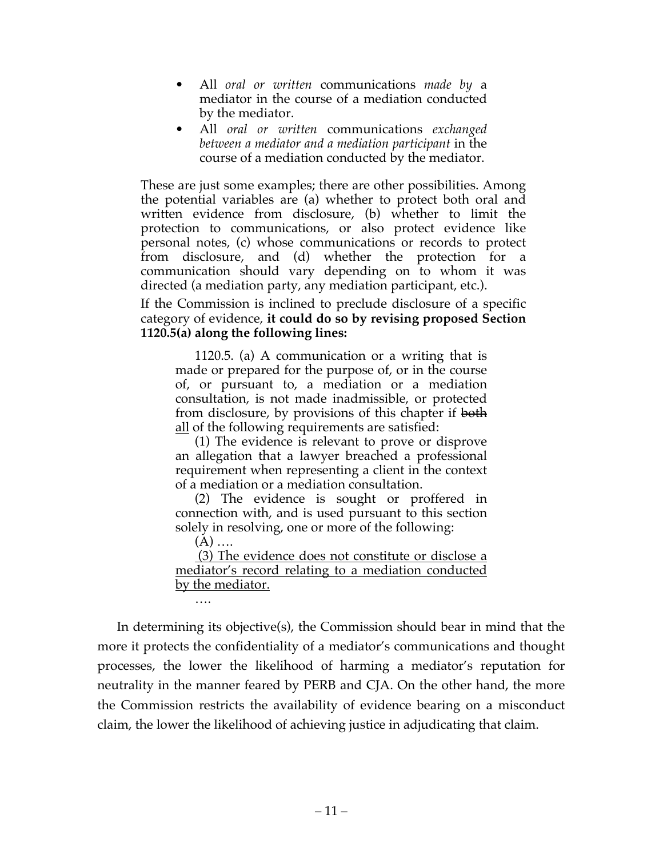- All *oral or written* communications *made by* a mediator in the course of a mediation conducted by the mediator.
- All *oral or written* communications *exchanged between a mediator and a mediation participant* in the course of a mediation conducted by the mediator.

These are just some examples; there are other possibilities. Among the potential variables are (a) whether to protect both oral and written evidence from disclosure, (b) whether to limit the protection to communications, or also protect evidence like personal notes, (c) whose communications or records to protect from disclosure, and (d) whether the protection for a communication should vary depending on to whom it was directed (a mediation party, any mediation participant, etc.).

If the Commission is inclined to preclude disclosure of a specific category of evidence, **it could do so by revising proposed Section 1120.5(a) along the following lines:**

1120.5. (a) A communication or a writing that is made or prepared for the purpose of, or in the course of, or pursuant to, a mediation or a mediation consultation, is not made inadmissible, or protected from disclosure, by provisions of this chapter if both all of the following requirements are satisfied:

(1) The evidence is relevant to prove or disprove an allegation that a lawyer breached a professional requirement when representing a client in the context of a mediation or a mediation consultation.

(2) The evidence is sought or proffered in connection with, and is used pursuant to this section solely in resolving, one or more of the following:

 $(A)$  ....

(3) The evidence does not constitute or disclose a mediator's record relating to a mediation conducted by the mediator.

In determining its objective(s), the Commission should bear in mind that the more it protects the confidentiality of a mediator's communications and thought processes, the lower the likelihood of harming a mediator's reputation for neutrality in the manner feared by PERB and CJA. On the other hand, the more the Commission restricts the availability of evidence bearing on a misconduct claim, the lower the likelihood of achieving justice in adjudicating that claim.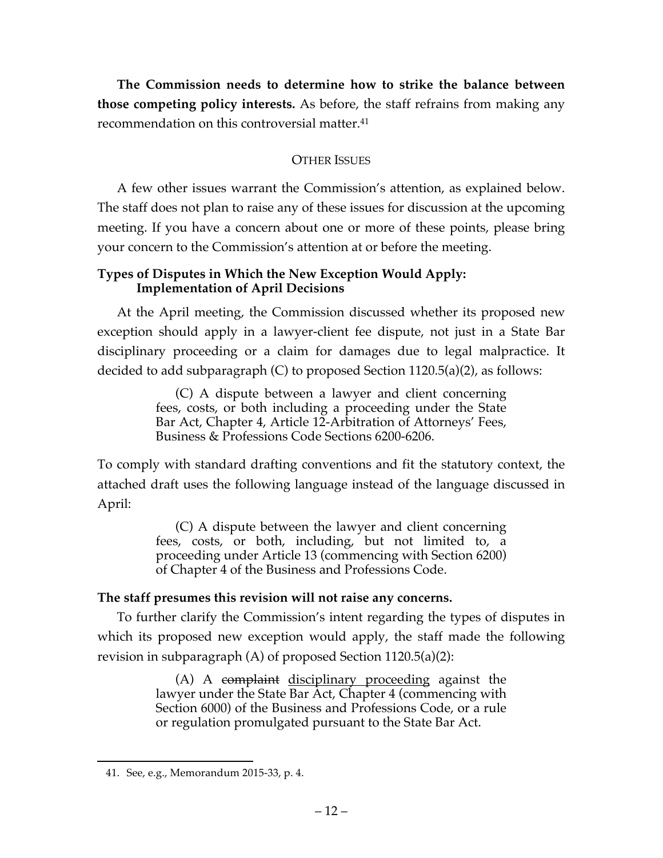**The Commission needs to determine how to strike the balance between those competing policy interests.** As before, the staff refrains from making any recommendation on this controversial matter.<sup>41</sup>

# OTHER ISSUES

A few other issues warrant the Commission's attention, as explained below. The staff does not plan to raise any of these issues for discussion at the upcoming meeting. If you have a concern about one or more of these points, please bring your concern to the Commission's attention at or before the meeting.

# **Types of Disputes in Which the New Exception Would Apply: Implementation of April Decisions**

At the April meeting, the Commission discussed whether its proposed new exception should apply in a lawyer-client fee dispute, not just in a State Bar disciplinary proceeding or a claim for damages due to legal malpractice. It decided to add subparagraph (C) to proposed Section 1120.5(a)(2), as follows:

> (C) A dispute between a lawyer and client concerning fees, costs, or both including a proceeding under the State Bar Act, Chapter 4, Article 12-Arbitration of Attorneys' Fees, Business & Professions Code Sections 6200-6206.

To comply with standard drafting conventions and fit the statutory context, the attached draft uses the following language instead of the language discussed in April:

> (C) A dispute between the lawyer and client concerning fees, costs, or both, including, but not limited to, a proceeding under Article 13 (commencing with Section 6200) of Chapter 4 of the Business and Professions Code.

# **The staff presumes this revision will not raise any concerns.**

To further clarify the Commission's intent regarding the types of disputes in which its proposed new exception would apply, the staff made the following revision in subparagraph (A) of proposed Section 1120.5(a)(2):

> (A) A complaint disciplinary proceeding against the lawyer under the State Bar Act, Chapter 4 (commencing with Section 6000) of the Business and Professions Code, or a rule or regulation promulgated pursuant to the State Bar Act.

 <sup>41.</sup> See, e.g., Memorandum 2015-33, p. 4.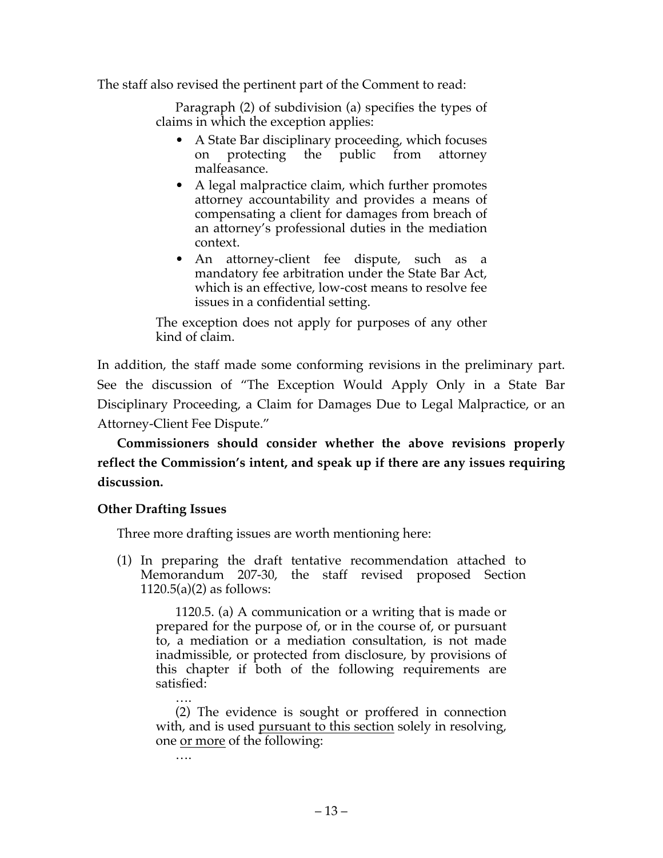The staff also revised the pertinent part of the Comment to read:

Paragraph (2) of subdivision (a) specifies the types of claims in which the exception applies:

- A State Bar disciplinary proceeding, which focuses on protecting the public from attorney malfeasance.
- A legal malpractice claim, which further promotes attorney accountability and provides a means of compensating a client for damages from breach of an attorney's professional duties in the mediation context.
- An attorney-client fee dispute, such as a mandatory fee arbitration under the State Bar Act, which is an effective, low-cost means to resolve fee issues in a confidential setting.

The exception does not apply for purposes of any other kind of claim.

In addition, the staff made some conforming revisions in the preliminary part. See the discussion of "The Exception Would Apply Only in a State Bar Disciplinary Proceeding, a Claim for Damages Due to Legal Malpractice, or an Attorney-Client Fee Dispute."

**Commissioners should consider whether the above revisions properly reflect the Commission's intent, and speak up if there are any issues requiring discussion.**

# **Other Drafting Issues**

….

Three more drafting issues are worth mentioning here:

(1) In preparing the draft tentative recommendation attached to Memorandum 207-30, the staff revised proposed Section  $1120.5(a)(2)$  as follows:

1120.5. (a) A communication or a writing that is made or prepared for the purpose of, or in the course of, or pursuant to, a mediation or a mediation consultation, is not made inadmissible, or protected from disclosure, by provisions of this chapter if both of the following requirements are satisfied:

…. (2) The evidence is sought or proffered in connection with, and is used pursuant to this section solely in resolving, one or more of the following: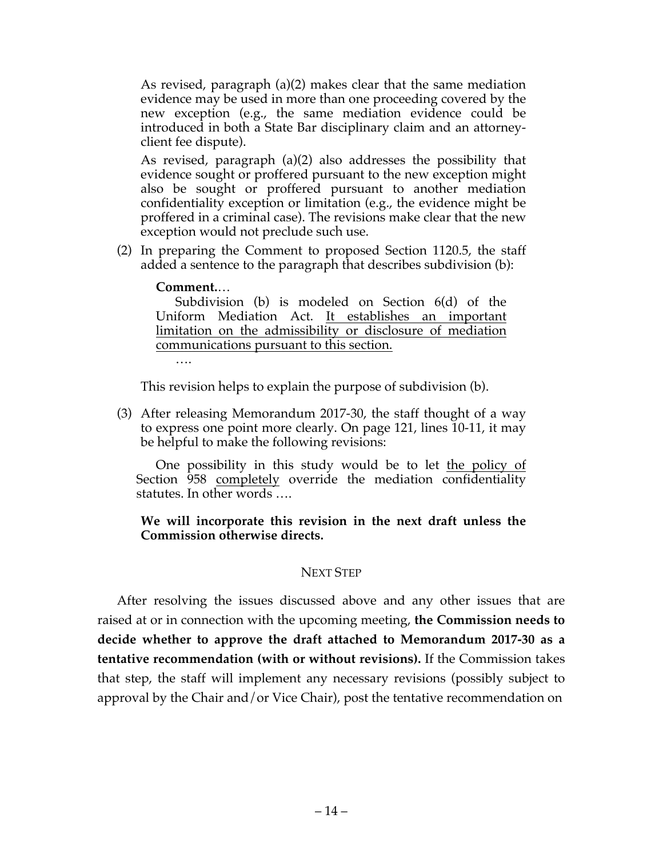As revised, paragraph (a)(2) makes clear that the same mediation evidence may be used in more than one proceeding covered by the new exception (e.g., the same mediation evidence could be introduced in both a State Bar disciplinary claim and an attorneyclient fee dispute).

As revised, paragraph (a)(2) also addresses the possibility that evidence sought or proffered pursuant to the new exception might also be sought or proffered pursuant to another mediation confidentiality exception or limitation (e.g., the evidence might be proffered in a criminal case). The revisions make clear that the new exception would not preclude such use.

(2) In preparing the Comment to proposed Section 1120.5, the staff added a sentence to the paragraph that describes subdivision (b):

#### **Comment.**…

Subdivision (b) is modeled on Section 6(d) of the Uniform Mediation Act. It establishes an important limitation on the admissibility or disclosure of mediation communications pursuant to this section.

….

This revision helps to explain the purpose of subdivision (b).

(3) After releasing Memorandum 2017-30, the staff thought of a way to express one point more clearly. On page 121, lines 10-11, it may be helpful to make the following revisions:

One possibility in this study would be to let the policy of Section 958 completely override the mediation confidentiality statutes. In other words ….

#### **We will incorporate this revision in the next draft unless the Commission otherwise directs.**

## NEXT STEP

After resolving the issues discussed above and any other issues that are raised at or in connection with the upcoming meeting, **the Commission needs to decide whether to approve the draft attached to Memorandum 2017-30 as a tentative recommendation (with or without revisions).** If the Commission takes that step, the staff will implement any necessary revisions (possibly subject to approval by the Chair and/or Vice Chair), post the tentative recommendation on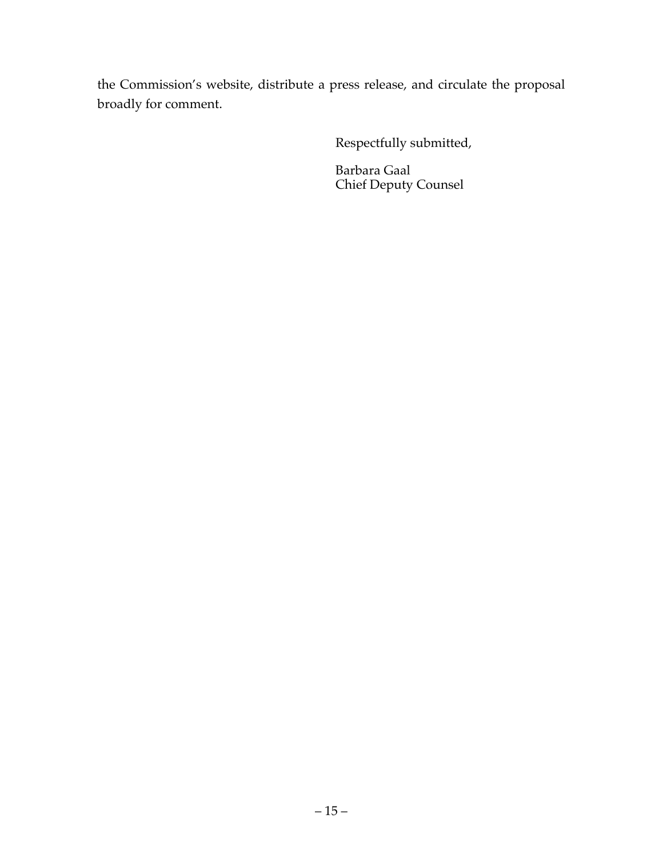the Commission's website, distribute a press release, and circulate the proposal broadly for comment.

Respectfully submitted,

Barbara Gaal Chief Deputy Counsel